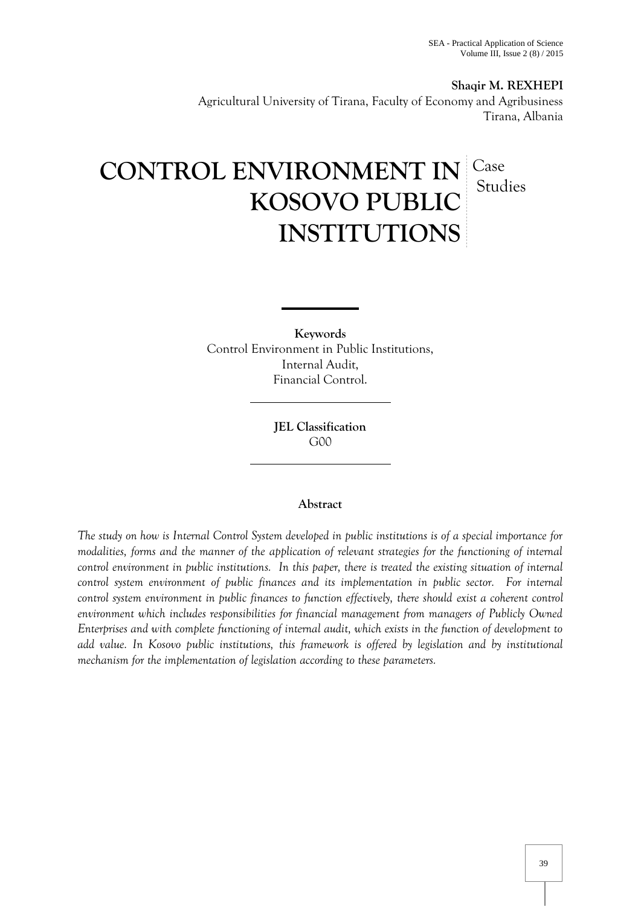**Shaqir M. REXHEPI** Agricultural University of Tirana, Faculty of Economy and Agribusiness Tirana, Albania

# CONTROL ENVIRONMENT IN Case **KOSOVO PUBLIC INSTITUTIONS** Studies

**Keywords** Control Environment in Public Institutions, Internal Audit, Financial Control.

> **JEL Classification** G00

## **Abstract**

*The study on how is Internal Control System developed in public institutions is of a special importance for modalities, forms and the manner of the application of relevant strategies for the functioning of internal control environment in public institutions. In this paper, there is treated the existing situation of internal control system environment of public finances and its implementation in public sector. For internal control system environment in public finances to function effectively, there should exist a coherent control environment which includes responsibilities for financial management from managers of Publicly Owned Enterprises and with complete functioning of internal audit, which exists in the function of development to add value. In Kosovo public institutions, this framework is offered by legislation and by institutional mechanism for the implementation of legislation according to these parameters.*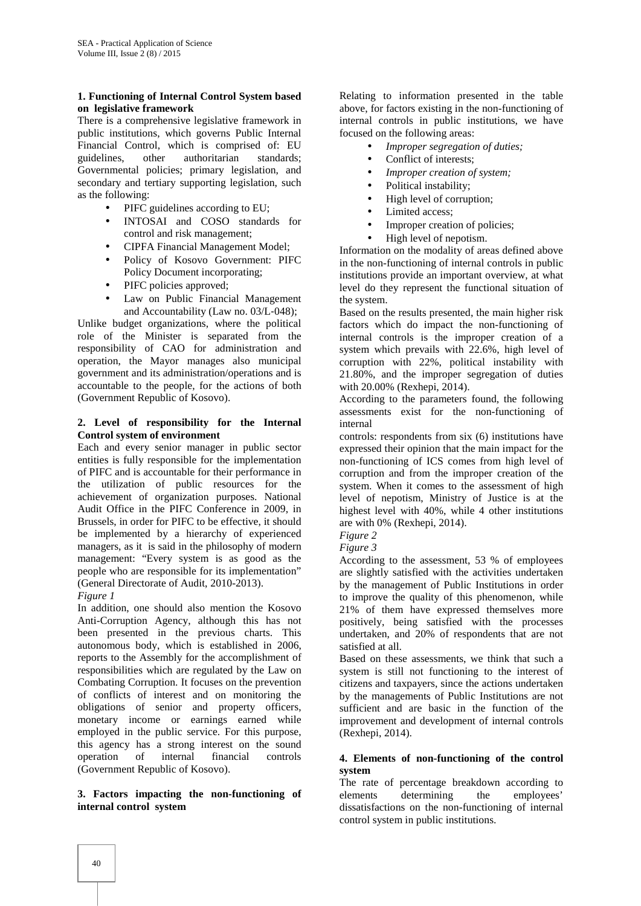#### **1. Functioning of Internal Control System based on legislative framework**

There is a comprehensive legislative framework in public institutions, which governs Public Internal Financial Control, which is comprised of: EU guidelines, other authoritarian standards; Governmental policies; primary legislation, and secondary and tertiary supporting legislation, such as the following:

- PIFC guidelines according to EU;
- INTOSAI and COSO standards for control and risk management;
- CIPFA Financial Management Model;
- Policy of Kosovo Government: PIFC Policy Document incorporating;
- PIFC policies approved;
- Law on Public Financial Management and Accountability (Law no. 03/L‐048);

Unlike budget organizations, where the political role of the Minister is separated from the responsibility of CAO for administration and operation, the Mayor manages also municipal government and its administration/operations and is accountable to the people, for the actions of both (Government Republic of Kosovo).

#### **2. Level of responsibility for the Internal Control system of environment**

Each and every senior manager in public sector entities is fully responsible for the implementation of PIFC and is accountable for their performance in the utilization of public resources for the achievement of organization purposes. National Audit Office in the PIFC Conference in 2009, in Brussels, in order for PIFC to be effective, it should be implemented by a hierarchy of experienced managers, as it is said in the philosophy of modern management: "Every system is as good as the people who are responsible for its implementation" (General Directorate of Audit, 2010-2013).

*Figure 1*

In addition, one should also mention the Kosovo Anti-Corruption Agency, although this has not been presented in the previous charts. This autonomous body, which is established in 2006, reports to the Assembly for the accomplishment of responsibilities which are regulated by the Law on Combating Corruption. It focuses on the prevention of conflicts of interest and on monitoring the obligations of senior and property officers, monetary income or earnings earned while employed in the public service. For this purpose, this agency has a strong interest on the sound operation of internal financial controls (Government Republic of Kosovo).

**3. Factors impacting the non-functioning of internal control system**

Relating to information presented in the table above, for factors existing in the non-functioning of internal controls in public institutions, we have focused on the following areas:

- *Improper segregation of duties;*
- Conflict of interests;
- *Improper creation of system;*
- Political instability;
- High level of corruption;
- Limited access;
- Improper creation of policies;
- High level of nepotism.

Information on the modality of areas defined above in the non-functioning of internal controls in public institutions provide an important overview, at what level do they represent the functional situation of the system.

Based on the results presented, the main higher risk factors which do impact the non-functioning of internal controls is the improper creation of a system which prevails with 22.6%, high level of corruption with 22%, political instability with 21.80%, and the improper segregation of duties with 20.00% (Rexhepi, 2014).

According to the parameters found, the following assessments exist for the non-functioning of internal

controls: respondents from six (6) institutions have expressed their opinion that the main impact for the non-functioning of ICS comes from high level of corruption and from the improper creation of the system. When it comes to the assessment of high level of nepotism, Ministry of Justice is at the highest level with 40%, while 4 other institutions are with 0% (Rexhepi, 2014).

*Figure 2*

*Figure 3*

According to the assessment, 53 % of employees are slightly satisfied with the activities undertaken by the management of Public Institutions in order to improve the quality of this phenomenon, while 21% of them have expressed themselves more positively, being satisfied with the processes undertaken, and 20% of respondents that are not satisfied at all.

Based on these assessments, we think that such a system is still not functioning to the interest of citizens and taxpayers, since the actions undertaken by the managements of Public Institutions are not sufficient and are basic in the function of the improvement and development of internal controls (Rexhepi, 2014).

### **4. Elements of non-functioning of the control system**

The rate of percentage breakdown according to elements determining the employees' dissatisfactions on the non-functioning of internal control system in public institutions.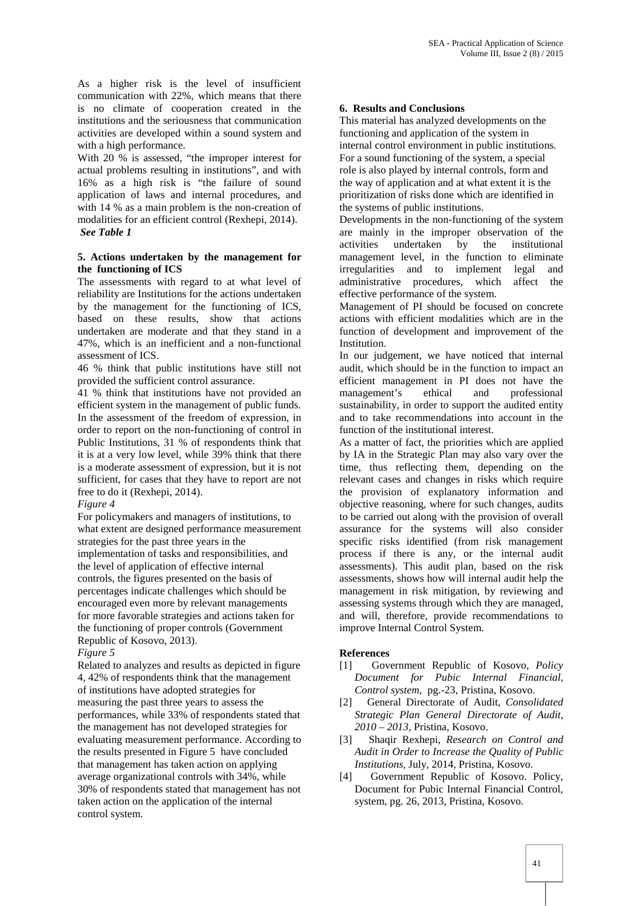As a higher risk is the level of insufficient communication with 22%, which means that there is no climate of cooperation created in the institutions and the seriousness that communication activities are developed within a sound system and with a high performance.

With 20 % is assessed, "the improper interest for actual problems resulting in institutions", and with 16% as a high risk is "the failure of sound application of laws and internal procedures, and with 14 % as a main problem is the non-creation of modalities for an efficient control (Rexhepi, 2014). *See Table 1*

#### **5. Actions undertaken by the management for the functioning of ICS**

The assessments with regard to at what level of reliability are Institutions for the actions undertaken by the management for the functioning of ICS, based on these results, show that actions undertaken are moderate and that they stand in a 47%, which is an inefficient and a non-functional assessment of ICS.

46 % think that public institutions have still not provided the sufficient control assurance.

41 % think that institutions have not provided an efficient system in the management of public funds. In the assessment of the freedom of expression, in order to report on the non-functioning of control in Public Institutions, 31 % of respondents think that it is at a very low level, while 39% think that there is a moderate assessment of expression, but it is not sufficient, for cases that they have to report are not free to do it (Rexhepi, 2014).

#### *Figure 4*

For policymakers and managers of institutions, to what extent are designed performance measurement strategies for the past three years in the implementation of tasks and responsibilities, and the level of application of effective internal controls, the figures presented on the basis of percentages indicate challenges which should be encouraged even more by relevant managements for more favorable strategies and actions taken for the functioning of proper controls (Government Republic of Kosovo, 2013).

## *Figure 5*

Related to analyzes and results as depicted in figure 4, 42% of respondents think that the management of institutions have adopted strategies for measuring the past three years to assess the performances, while 33% of respondents stated that the management has not developed strategies for evaluating measurement performance. According to the results presented in Figure 5 have concluded that management has taken action on applying average organizational controls with 34%, while 30% of respondents stated that management has not taken action on the application of the internal control system.

#### **6. Results and Conclusions**

This material has analyzed developments on the functioning and application of the system in internal control environment in public institutions. For a sound functioning of the system, a special role is also played by internal controls, form and the way of application and at what extent it is the prioritization of risks done which are identified in the systems of public institutions.

Developments in the non-functioning of the system are mainly in the improper observation of the activities undertaken by the institutional management level, in the function to eliminate irregularities and to implement legal and administrative procedures, which affect the effective performance of the system.

Management of PI should be focused on concrete actions with efficient modalities which are in the function of development and improvement of the Institution.

In our judgement, we have noticed that internal audit, which should be in the function to impact an efficient management in PI does not have the management's ethical and professional sustainability, in order to support the audited entity and to take recommendations into account in the function of the institutional interest.

As a matter of fact, the priorities which are applied by IA in the Strategic Plan may also vary over the time, thus reflecting them, depending on the relevant cases and changes in risks which require the provision of explanatory information and objective reasoning, where for such changes, audits to be carried out along with the provision of overall assurance for the systems will also consider specific risks identified (from risk management process if there is any, or the internal audit assessments). This audit plan, based on the risk assessments, shows how will internal audit help the management in risk mitigation, by reviewing and assessing systems through which they are managed, and will, therefore, provide recommendations to improve Internal Control System.

## **References**

- [1] Government Republic of Kosovo, *Policy Document for Pubic Internal Financial, Control system*, pg.-23, Pristina, Kosovo.
- [2] General Directorate of Audit, *Consolidated Strategic Plan General Directorate of Audit, 2010 – 2013*, Pristina, Kosovo.
- [3] Shaqir Rexhepi, *Research on Control and Audit in Order to Increase the Quality of Public Institutions,* July, 2014, Pristina, Kosovo.
- [4] Government Republic of Kosovo. Policy, Document for Pubic Internal Financial Control, system, pg. 26, 2013, Pristina, Kosovo.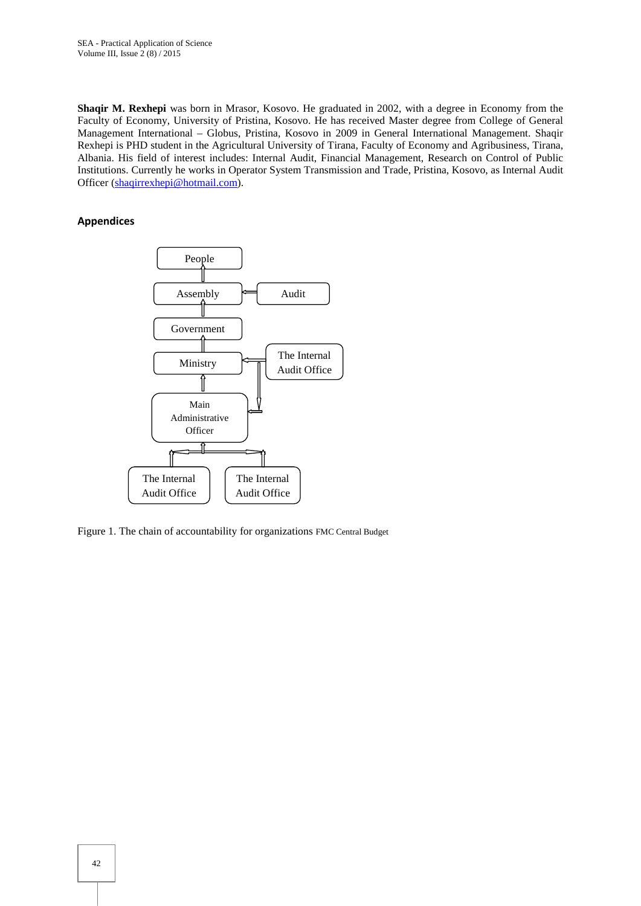**Shaqir M. Rexhepi** was born in Mrasor, Kosovo. He graduated in 2002, with a degree in Economy from the Faculty of Economy, University of Pristina, Kosovo. He has received Master degree from College of General Management International – Globus, Pristina, Kosovo in 2009 in General International Management. Shaqir Rexhepi is PHD student in the Agricultural University of Tirana, Faculty of Economy and Agribusiness, Tirana, Albania. His field of interest includes: Internal Audit, Financial Management, Research on Control of Public Institutions. Currently he works in Operator System Transmission and Trade, Pristina, Kosovo, as Internal Audit Officer (shaqirrexhepi@hotmail.com).

#### **Appendices**



Figure 1. The chain of accountability for organizations FMC Central Budget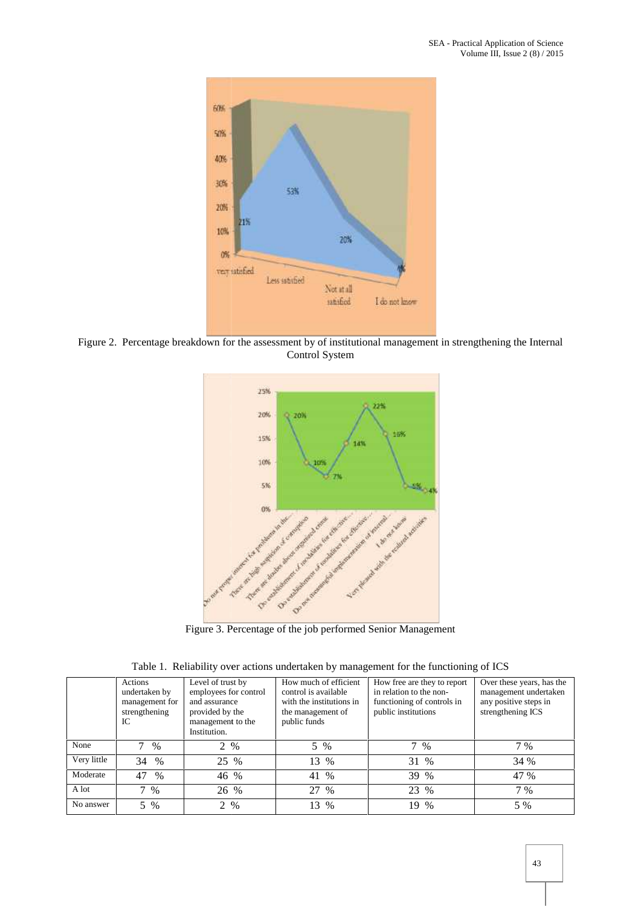

Figure 2. Percentage breakdown for the assessment by of institutional management in strengthening the Internal Control System



Figure 3. Percentage of the job performed Senior Management

|             | Actions<br>undertaken by<br>management for<br>strengthening<br>IC | Level of trust by<br>employees for control<br>and assurance<br>provided by the<br>management to the<br>Institution. | How much of efficient<br>control is available<br>with the institutions in<br>the management of<br>public funds | How free are they to report<br>in relation to the non-<br>functioning of controls in<br>public institutions | Over these years, has the<br>management undertaken<br>any positive steps in<br>strengthening ICS |
|-------------|-------------------------------------------------------------------|---------------------------------------------------------------------------------------------------------------------|----------------------------------------------------------------------------------------------------------------|-------------------------------------------------------------------------------------------------------------|--------------------------------------------------------------------------------------------------|
| None        | $\%$                                                              | 2 %                                                                                                                 | 5 %                                                                                                            | 7 %                                                                                                         | 7 %                                                                                              |
| Very little | 34 %                                                              | 25 %                                                                                                                | 13 %                                                                                                           | 31 %                                                                                                        | 34 %                                                                                             |
| Moderate    | 47<br>$\%$                                                        | 46 %                                                                                                                | 41 %                                                                                                           | 39 %                                                                                                        | 47 %                                                                                             |
| A lot       | 7<br>$\%$                                                         | 26 %                                                                                                                | 27 %                                                                                                           | 23 %                                                                                                        | 7 %                                                                                              |
| No answer   | 5 %                                                               | 2 %                                                                                                                 | 13 %                                                                                                           | 19<br>$\%$                                                                                                  | 5 %                                                                                              |

Table 1. Reliability over actions undertaken by management for the functioning of ICS